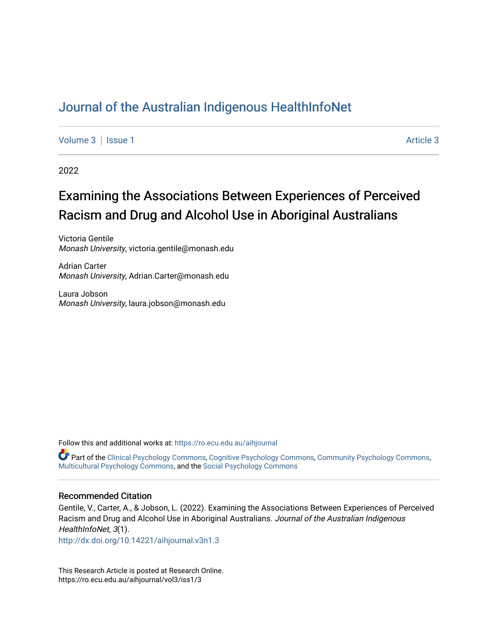# [Journal of the Australian Indigenous HealthInfoNet](https://ro.ecu.edu.au/aihjournal)

[Volume 3](https://ro.ecu.edu.au/aihjournal/vol3) | [Issue 1](https://ro.ecu.edu.au/aihjournal/vol3/iss1) Article 3

2022

# Examining the Associations Between Experiences of Perceived Racism and Drug and Alcohol Use in Aboriginal Australians

Victoria Gentile Monash University, victoria.gentile@monash.edu

Adrian Carter Monash University, Adrian.Carter@monash.edu

Laura Jobson Monash University, laura.jobson@monash.edu

Follow this and additional works at: [https://ro.ecu.edu.au/aihjournal](https://ro.ecu.edu.au/aihjournal?utm_source=ro.ecu.edu.au%2Faihjournal%2Fvol3%2Fiss1%2F3&utm_medium=PDF&utm_campaign=PDFCoverPages) 

Part of the [Clinical Psychology Commons](https://network.bepress.com/hgg/discipline/406?utm_source=ro.ecu.edu.au%2Faihjournal%2Fvol3%2Fiss1%2F3&utm_medium=PDF&utm_campaign=PDFCoverPages), [Cognitive Psychology Commons](https://network.bepress.com/hgg/discipline/408?utm_source=ro.ecu.edu.au%2Faihjournal%2Fvol3%2Fiss1%2F3&utm_medium=PDF&utm_campaign=PDFCoverPages), [Community Psychology Commons](https://network.bepress.com/hgg/discipline/409?utm_source=ro.ecu.edu.au%2Faihjournal%2Fvol3%2Fiss1%2F3&utm_medium=PDF&utm_campaign=PDFCoverPages), [Multicultural Psychology Commons,](https://network.bepress.com/hgg/discipline/1237?utm_source=ro.ecu.edu.au%2Faihjournal%2Fvol3%2Fiss1%2F3&utm_medium=PDF&utm_campaign=PDFCoverPages) and the [Social Psychology Commons](https://network.bepress.com/hgg/discipline/414?utm_source=ro.ecu.edu.au%2Faihjournal%2Fvol3%2Fiss1%2F3&utm_medium=PDF&utm_campaign=PDFCoverPages)

#### Recommended Citation

Gentile, V., Carter, A., & Jobson, L. (2022). Examining the Associations Between Experiences of Perceived Racism and Drug and Alcohol Use in Aboriginal Australians. Journal of the Australian Indigenous HealthInfoNet, 3(1).

<http://dx.doi.org/10.14221/aihjournal.v3n1.3>

This Research Article is posted at Research Online. https://ro.ecu.edu.au/aihjournal/vol3/iss1/3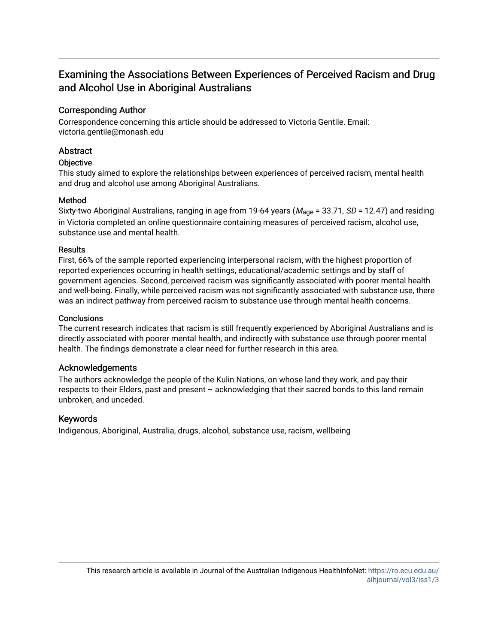## Examining the Associations Between Experiences of Perceived Racism and Drug and Alcohol Use in Aboriginal Australians

## Corresponding Author

Correspondence concerning this article should be addressed to Victoria Gentile. Email: victoria.gentile@monash.edu

## **Abstract**

## **Objective**

This study aimed to explore the relationships between experiences of perceived racism, mental health and drug and alcohol use among Aboriginal Australians.

## Method

Sixty-two Aboriginal Australians, ranging in age from 19-64 years ( $M_{\text{age}}$  = 33.71, *SD* = 12.47) and residing in Victoria completed an online questionnaire containing measures of perceived racism, alcohol use, substance use and mental health.

### **Results**

First, 66% of the sample reported experiencing interpersonal racism, with the highest proportion of reported experiences occurring in health settings, educational/academic settings and by staff of government agencies. Second, perceived racism was significantly associated with poorer mental health and well-being. Finally, while perceived racism was not significantly associated with substance use, there was an indirect pathway from perceived racism to substance use through mental health concerns.

## **Conclusions**

The current research indicates that racism is still frequently experienced by Aboriginal Australians and is directly associated with poorer mental health, and indirectly with substance use through poorer mental health. The findings demonstrate a clear need for further research in this area.

## Acknowledgements

The authors acknowledge the people of the Kulin Nations, on whose land they work, and pay their respects to their Elders, past and present – acknowledging that their sacred bonds to this land remain unbroken, and unceded.

## Keywords

Indigenous, Aboriginal, Australia, drugs, alcohol, substance use, racism, wellbeing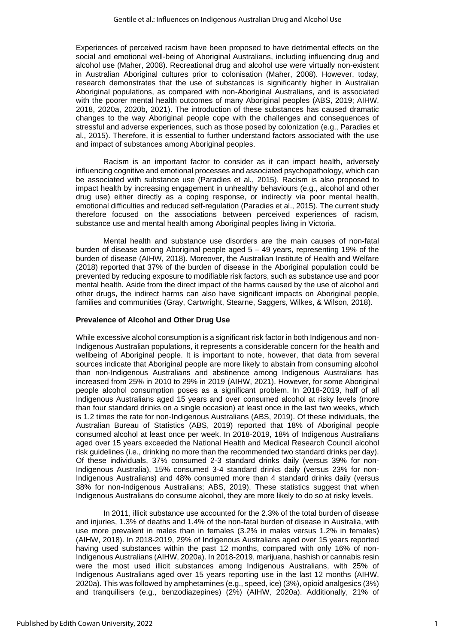Experiences of perceived racism have been proposed to have detrimental effects on the social and emotional well-being of Aboriginal Australians, including influencing drug and alcohol use (Maher, 2008). Recreational drug and alcohol use were virtually non-existent in Australian Aboriginal cultures prior to colonisation (Maher, 2008). However, today, research demonstrates that the use of substances is significantly higher in Australian Aboriginal populations, as compared with non-Aboriginal Australians, and is associated with the poorer mental health outcomes of many Aboriginal peoples (ABS, 2019; AIHW, 2018, 2020a, 2020b, 2021). The introduction of these substances has caused dramatic changes to the way Aboriginal people cope with the challenges and consequences of stressful and adverse experiences, such as those posed by colonization (e.g., Paradies et al., 2015). Therefore, it is essential to further understand factors associated with the use and impact of substances among Aboriginal peoples.

Racism is an important factor to consider as it can impact health, adversely influencing cognitive and emotional processes and associated psychopathology, which can be associated with substance use (Paradies et al., 2015). Racism is also proposed to impact health by increasing engagement in unhealthy behaviours (e.g., alcohol and other drug use) either directly as a coping response, or indirectly via poor mental health, emotional difficulties and reduced self-regulation (Paradies et al., 2015). The current study therefore focused on the associations between perceived experiences of racism, substance use and mental health among Aboriginal peoples living in Victoria.

Mental health and substance use disorders are the main causes of non-fatal burden of disease among Aboriginal people aged 5 – 49 years, representing 19% of the burden of disease (AIHW, 2018). Moreover, the Australian Institute of Health and Welfare (2018) reported that 37% of the burden of disease in the Aboriginal population could be prevented by reducing exposure to modifiable risk factors, such as substance use and poor mental health. Aside from the direct impact of the harms caused by the use of alcohol and other drugs, the indirect harms can also have significant impacts on Aboriginal people, families and communities (Gray, Cartwright, Stearne, Saggers, Wilkes, & Wilson, 2018).

#### **Prevalence of Alcohol and Other Drug Use**

While excessive alcohol consumption is a significant risk factor in both Indigenous and non-Indigenous Australian populations, it represents a considerable concern for the health and wellbeing of Aboriginal people. It is important to note, however, that data from several sources indicate that Aboriginal people are more likely to abstain from consuming alcohol than non-Indigenous Australians and abstinence among Indigenous Australians has increased from 25% in 2010 to 29% in 2019 (AIHW, 2021). However, for some Aboriginal people alcohol consumption poses as a significant problem. In 2018-2019, half of all Indigenous Australians aged 15 years and over consumed alcohol at risky levels (more than four standard drinks on a single occasion) at least once in the last two weeks, which is 1.2 times the rate for non-Indigenous Australians (ABS, 2019). Of these individuals, the Australian Bureau of Statistics (ABS, 2019) reported that 18% of Aboriginal people consumed alcohol at least once per week. In 2018-2019, 18% of Indigenous Australians aged over 15 years exceeded the National Health and Medical Research Council alcohol risk guidelines (i.e., drinking no more than the recommended two standard drinks per day). Of these individuals, 37% consumed 2-3 standard drinks daily (versus 39% for non-Indigenous Australia), 15% consumed 3-4 standard drinks daily (versus 23% for non-Indigenous Australians) and 48% consumed more than 4 standard drinks daily (versus 38% for non-Indigenous Australians; ABS, 2019). These statistics suggest that when Indigenous Australians do consume alcohol, they are more likely to do so at risky levels.

In 2011, illicit substance use accounted for the 2.3% of the total burden of disease and injuries, 1.3% of deaths and 1.4% of the non-fatal burden of disease in Australia, with use more prevalent in males than in females (3.2% in males versus 1.2% in females) (AIHW, 2018). In 2018-2019, 29% of Indigenous Australians aged over 15 years reported having used substances within the past 12 months, compared with only 16% of non-Indigenous Australians (AIHW, 2020a). In 2018-2019, marijuana, hashish or cannabis resin were the most used illicit substances among Indigenous Australians, with 25% of Indigenous Australians aged over 15 years reporting use in the last 12 months (AIHW, 2020a). This was followed by amphetamines (e.g., speed, ice) (3%), opioid analgesics (3%) and tranquilisers (e.g., benzodiazepines) (2%) (AIHW, 2020a). Additionally, 21% of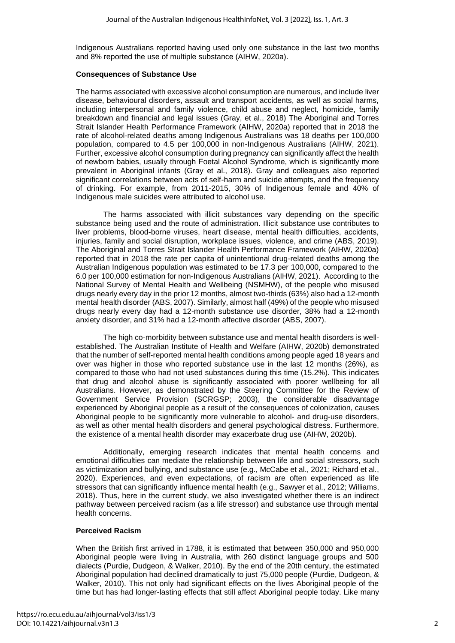Indigenous Australians reported having used only one substance in the last two months and 8% reported the use of multiple substance (AIHW, 2020a).

#### **Consequences of Substance Use**

The harms associated with excessive alcohol consumption are numerous, and include liver disease, behavioural disorders, assault and transport accidents, as well as social harms, including interpersonal and family violence, child abuse and neglect, homicide, family breakdown and financial and legal issues (Gray, et al., 2018) The Aboriginal and Torres Strait Islander Health Performance Framework (AIHW, 2020a) reported that in 2018 the rate of alcohol-related deaths among Indigenous Australians was 18 deaths per 100,000 population, compared to 4.5 per 100,000 in non-Indigenous Australians (AIHW, 2021). Further, excessive alcohol consumption during pregnancy can significantly affect the health of newborn babies, usually through Foetal Alcohol Syndrome, which is significantly more prevalent in Aboriginal infants (Gray et al., 2018). Gray and colleagues also reported significant correlations between acts of self-harm and suicide attempts, and the frequency of drinking. For example, from 2011-2015, 30% of Indigenous female and 40% of Indigenous male suicides were attributed to alcohol use.

The harms associated with illicit substances vary depending on the specific substance being used and the route of administration. Illicit substance use contributes to liver problems, blood-borne viruses, heart disease, mental health difficulties, accidents, injuries, family and social disruption, workplace issues, violence, and crime (ABS, 2019). The Aboriginal and Torres Strait Islander Health Performance Framework (AIHW, 2020a) reported that in 2018 the rate per capita of unintentional drug-related deaths among the Australian Indigenous population was estimated to be 17.3 per 100,000, compared to the 6.0 per 100,000 estimation for non-Indigenous Australians (AIHW, 2021). According to the National Survey of Mental Health and Wellbeing (NSMHW), of the people who misused drugs nearly every day in the prior 12 months, almost two-thirds (63%) also had a 12-month mental health disorder (ABS, 2007). Similarly, almost half (49%) of the people who misused drugs nearly every day had a 12-month substance use disorder, 38% had a 12-month anxiety disorder, and 31% had a 12-month affective disorder (ABS, 2007).

The high co-morbidity between substance use and mental health disorders is wellestablished. The Australian Institute of Health and Welfare (AIHW, 2020b) demonstrated that the number of self-reported mental health conditions among people aged 18 years and over was higher in those who reported substance use in the last 12 months (26%), as compared to those who had not used substances during this time (15.2%). This indicates that drug and alcohol abuse is significantly associated with poorer wellbeing for all Australians. However, as demonstrated by the Steering Committee for the Review of Government Service Provision (SCRGSP; 2003), the considerable disadvantage experienced by Aboriginal people as a result of the consequences of colonization, causes Aboriginal people to be significantly more vulnerable to alcohol- and drug-use disorders, as well as other mental health disorders and general psychological distress. Furthermore, the existence of a mental health disorder may exacerbate drug use (AIHW, 2020b).

Additionally, emerging research indicates that mental health concerns and emotional difficulties can mediate the relationship between life and social stressors, such as victimization and bullying, and substance use (e.g., McCabe et al., 2021; Richard et al., 2020). Experiences, and even expectations, of racism are often experienced as life stressors that can significantly influence mental health (e.g., Sawyer et al., 2012; Williams, 2018). Thus, here in the current study, we also investigated whether there is an indirect pathway between perceived racism (as a life stressor) and substance use through mental health concerns.

#### **Perceived Racism**

When the British first arrived in 1788, it is estimated that between 350,000 and 950,000 Aboriginal people were living in Australia, with 260 distinct language groups and 500 dialects (Purdie, Dudgeon, & Walker, 2010). By the end of the 20th century, the estimated Aboriginal population had declined dramatically to just 75,000 people (Purdie, Dudgeon, & Walker, 2010). This not only had significant effects on the lives Aboriginal people of the time but has had longer-lasting effects that still affect Aboriginal people today. Like many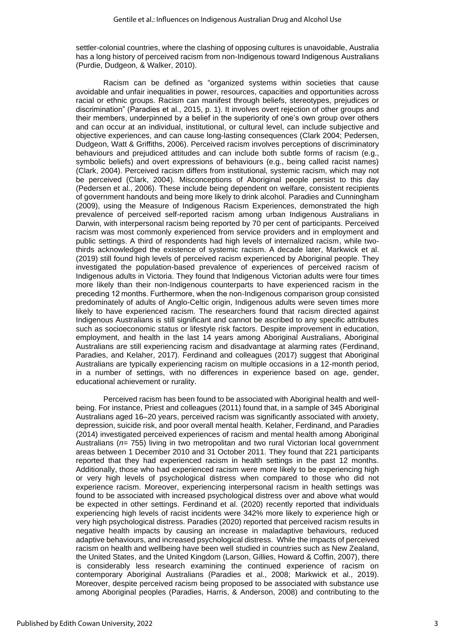settler-colonial countries, where the clashing of opposing cultures is unavoidable, Australia has a long history of perceived racism from non-Indigenous toward Indigenous Australians (Purdie, Dudgeon, & Walker, 2010).

Racism can be defined as "organized systems within societies that cause avoidable and unfair inequalities in power, resources, capacities and opportunities across racial or ethnic groups. Racism can manifest through beliefs, stereotypes, prejudices or discrimination" (Paradies et al., 2015, p. 1). It involves overt rejection of other groups and their members, underpinned by a belief in the superiority of one's own group over others and can occur at an individual, institutional, or cultural level, can include subjective and objective experiences, and can cause long-lasting consequences (Clark 2004; Pedersen, Dudgeon, Watt & Griffiths, 2006). Perceived racism involves perceptions of discriminatory behaviours and prejudiced attitudes and can include both subtle forms of racism (e.g., symbolic beliefs) and overt expressions of behaviours (e.g., being called racist names) (Clark, 2004). Perceived racism differs from institutional, systemic racism, which may not be perceived (Clark, 2004). Misconceptions of Aboriginal people persist to this day (Pedersen et al., 2006). These include being dependent on welfare, consistent recipients of government handouts and being more likely to drink alcohol. Paradies and Cunningham (2009), using the Measure of Indigenous Racism Experiences, demonstrated the high prevalence of perceived self-reported racism among urban Indigenous Australians in Darwin, with interpersonal racism being reported by 70 per cent of participants. Perceived racism was most commonly experienced from service providers and in employment and public settings. A third of respondents had high levels of internalized racism, while twothirds acknowledged the existence of systemic racism. A decade later, Markwick et al. (2019) still found high levels of perceived racism experienced by Aboriginal people. They investigated the population-based prevalence of experiences of perceived racism of Indigenous adults in Victoria. They found that Indigenous Victorian adults were four times more likely than their non-Indigenous counterparts to have experienced racism in the preceding 12 months. Furthermore, when the non-Indigenous comparison group consisted predominately of adults of Anglo-Celtic origin, Indigenous adults were seven times more likely to have experienced racism. The researchers found that racism directed against Indigenous Australians is still significant and cannot be ascribed to any specific attributes such as socioeconomic status or lifestyle risk factors. Despite improvement in education, employment, and health in the last 14 years among Aboriginal Australians, Aboriginal Australians are still experiencing racism and disadvantage at alarming rates (Ferdinand, Paradies, and Kelaher, 2017). Ferdinand and colleagues (2017) suggest that Aboriginal Australians are typically experiencing racism on multiple occasions in a 12-month period, in a number of settings, with no differences in experience based on age, gender, educational achievement or rurality.

Perceived racism has been found to be associated with Aboriginal health and wellbeing. For instance, Priest and colleagues (2011) found that, in a sample of 345 Aboriginal Australians aged 16–20 years, perceived racism was significantly associated with anxiety, depression, suicide risk, and poor overall mental health. Kelaher, Ferdinand, and Paradies (2014) investigated perceived experiences of racism and mental health among Aboriginal Australians (*n*= 755) living in two metropolitan and two rural Victorian local government areas between 1 December 2010 and 31 October 2011. They found that 221 participants reported that they had experienced racism in health settings in the past 12 months. Additionally, those who had experienced racism were more likely to be experiencing high or very high levels of psychological distress when compared to those who did not experience racism. Moreover, experiencing interpersonal racism in health settings was found to be associated with increased psychological distress over and above what would be expected in other settings. Ferdinand et al. (2020) recently reported that individuals experiencing high levels of racist incidents were 342% more likely to experience high or very high psychological distress. Paradies (2020) reported that perceived racism results in negative health impacts by causing an increase in maladaptive behaviours, reduced adaptive behaviours, and increased psychological distress. While the impacts of perceived racism on health and wellbeing have been well studied in countries such as New Zealand, the United States, and the United Kingdom (Larson, Gillies, Howard & Coffin, 2007), there is considerably less research examining the continued experience of racism on contemporary Aboriginal Australians (Paradies et al., 2008; Markwick et al., 2019). Moreover, despite perceived racism being proposed to be associated with substance use among Aboriginal peoples (Paradies, Harris, & Anderson, 2008) and contributing to the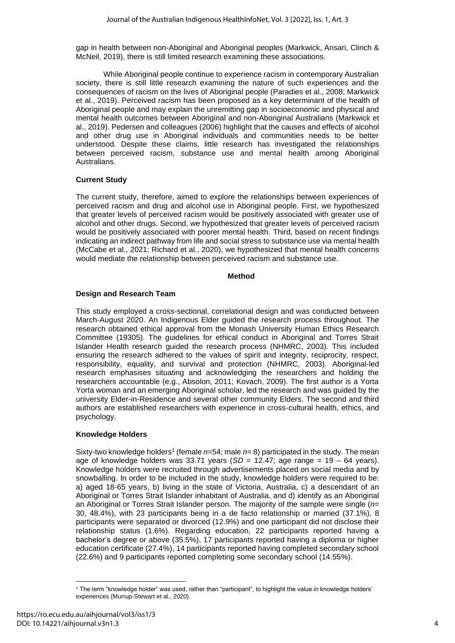gap in health between non-Aboriginal and Aboriginal peoples (Markwick, Ansari, Clinch & McNeil, 2019), there is still limited research examining these associations.

While Aboriginal people continue to experience racism in contemporary Australian society, there is still little research examining the nature of such experiences and the consequences of racism on the lives of Aboriginal people (Paradies et al., 2008; Markwick et al., 2019). Perceived racism has been proposed as a key determinant of the health of Aboriginal people and may explain the unremitting gap in socioeconomic and physical and mental health outcomes between Aboriginal and non-Aboriginal Australians (Markwick et al., 2019). Pedersen and colleagues (2006) highlight that the causes and effects of alcohol and other drug use in Aboriginal individuals and communities needs to be better understood. Despite these claims, little research has investigated the relationships between perceived racism, substance use and mental health among Aboriginal Australians.

## **Current Study**

The current study, therefore, aimed to explore the relationships between experiences of perceived racism and drug and alcohol use in Aboriginal people. First, we hypothesized that greater levels of perceived racism would be positively associated with greater use of alcohol and other drugs. Second, we hypothesized that greater levels of perceived racism would be positively associated with poorer mental health. Third, based on recent findings indicating an indirect pathway from life and social stress to substance use via mental health (McCabe et al., 2021; Richard et al., 2020), we hypothesized that mental health concerns would mediate the relationship between perceived racism and substance use.

#### **Method**

## **Design and Research Team**

This study employed a cross-sectional, correlational design and was conducted between March-August 2020. An Indigenous Elder guided the research process throughout. The research obtained ethical approval from the Monash University Human Ethics Research Committee (19305). The guidelines for ethical conduct in Aboriginal and Torres Strait Islander Health research guided the research process (NHMRC, 2003). This included ensuring the research adhered to the values of spirit and integrity, reciprocity, respect, responsibility, equality, and survival and protection (NHMRC, 2003). Aboriginal-led research emphasises situating and acknowledging the researchers and holding the researchers accountable (e.g., Absolon, 2011; Kovach, 2009). The first author is a Yorta Yorta woman and an emerging Aboriginal scholar, led the research and was guided by the university Elder-in-Residence and several other community Elders. The second and third authors are established researchers with experience in cross-cultural health, ethics, and psychology.

## **Knowledge Holders**

Sixty-two knowledge holders 1 (female *n*=54; male *n*= 8) participated in the study. The mean age of knowledge holders was 33.71 years (*SD* = 12.47; age range = 19 – 64 years). Knowledge holders were recruited through advertisements placed on social media and by snowballing. In order to be included in the study, knowledge holders were required to be: a) aged 18-65 years, b) living in the state of Victoria, Australia, c) a descendant of an Aboriginal or Torres Strait Islander inhabitant of Australia, and d) identify as an Aboriginal an Aboriginal or Torres Strait Islander person. The majority of the sample were single (*n*= 30, 48.4%), with 23 participants being in a de facto relationship or married (37.1%), 8 participants were separated or divorced (12.9%) and one participant did not disclose their relationship status (1.6%). Regarding education, 22 participants reported having a bachelor's degree or above (35.5%), 17 participants reported having a diploma or higher education certificate (27.4%), 14 participants reported having completed secondary school (22.6%) and 9 participants reported completing some secondary school (14.55%).

<sup>1</sup> The term "knowledge holder" was used, rather than "participant", to highlight the value in knowledge holders' experiences (Murrup-Stewart et al., 2020).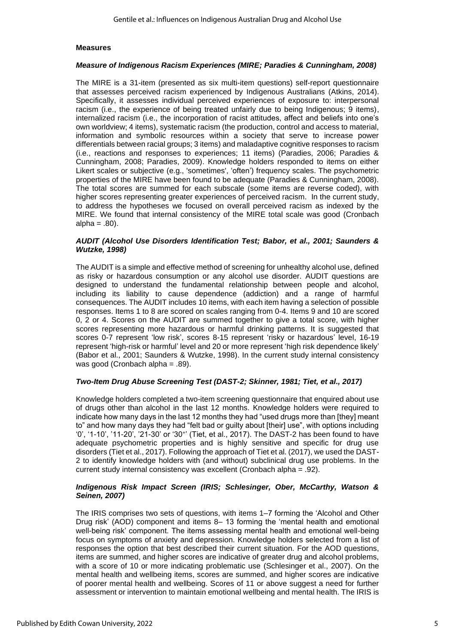#### **Measures**

#### *Measure of Indigenous Racism Experiences (MIRE; Paradies & Cunningham, 2008)*

The MIRE is a 31-item (presented as six multi-item questions) self-report questionnaire that assesses perceived racism experienced by Indigenous Australians (Atkins, 2014). Specifically, it assesses individual perceived experiences of exposure to: interpersonal racism (i.e., the experience of being treated unfairly due to being Indigenous; 9 items), internalized racism (i.e., the incorporation of racist attitudes, affect and beliefs into one's own worldview; 4 items), systematic racism (the production, control and access to material, information and symbolic resources within a society that serve to increase power differentials between racial groups; 3 items) and maladaptive cognitive responses to racism (i.e., reactions and responses to experiences; 11 items) (Paradies, 2006; Paradies & Cunningham, 2008; Paradies, 2009). Knowledge holders responded to items on either Likert scales or subjective (e.g., 'sometimes', 'often') frequency scales. The psychometric properties of the MIRE have been found to be adequate (Paradies & Cunningham, 2008). The total scores are summed for each subscale (some items are reverse coded), with higher scores representing greater experiences of perceived racism. In the current study, to address the hypotheses we focused on overall perceived racism as indexed by the MIRE. We found that internal consistency of the MIRE total scale was good (Cronbach  $alpha = .80$ ).

#### *AUDIT (Alcohol Use Disorders Identification Test; Babor, et al., 2001; Saunders & Wutzke, 1998)*

The AUDIT is a simple and effective method of screening for unhealthy alcohol use, defined as risky or hazardous consumption or any alcohol use disorder. AUDIT questions are designed to understand the fundamental relationship between people and alcohol, including its liability to cause dependence (addiction) and a range of harmful consequences. The AUDIT includes 10 items, with each item having a selection of possible responses. Items 1 to 8 are scored on scales ranging from 0-4. Items 9 and 10 are scored 0, 2 or 4. Scores on the AUDIT are summed together to give a total score, with higher scores representing more hazardous or harmful drinking patterns. It is suggested that scores 0-7 represent 'low risk', scores 8-15 represent 'risky or hazardous' level, 16-19 represent 'high-risk or harmful' level and 20 or more represent 'high risk dependence likely' (Babor et al., 2001; Saunders & Wutzke, 1998). In the current study internal consistency was good (Cronbach alpha = .89).

### *Two-Item Drug Abuse Screening Test (DAST-2; Skinner, 1981; Tiet, et al., 2017)*

Knowledge holders completed a two-item screening questionnaire that enquired about use of drugs other than alcohol in the last 12 months. Knowledge holders were required to indicate how many days in the last 12 months they had "used drugs more than [they] meant to" and how many days they had "felt bad or guilty about [their] use", with options including '0', '1-10', '11-20', '21-30' or '30<sup>+</sup> ' (Tiet, et al., 2017). The DAST-2 has been found to have adequate psychometric properties and is highly sensitive and specific for drug use disorders (Tiet et al., 2017). Following the approach of Tiet et al. (2017), we used the DAST-2 to identify knowledge holders with (and without) subclinical drug use problems. In the current study internal consistency was excellent (Cronbach alpha = .92).

#### *Indigenous Risk Impact Screen (IRIS; Schlesinger, Ober, McCarthy, Watson & Seinen, 2007)*

The IRIS comprises two sets of questions, with items 1–7 forming the 'Alcohol and Other Drug risk' (AOD) component and items 8– 13 forming the 'mental health and emotional well-being risk' component. The items assessing mental health and emotional well-being focus on symptoms of anxiety and depression. Knowledge holders selected from a list of responses the option that best described their current situation. For the AOD questions, items are summed, and higher scores are indicative of greater drug and alcohol problems, with a score of 10 or more indicating problematic use (Schlesinger et al., 2007). On the mental health and wellbeing items, scores are summed, and higher scores are indicative of poorer mental health and wellbeing. Scores of 11 or above suggest a need for further assessment or intervention to maintain emotional wellbeing and mental health. The IRIS is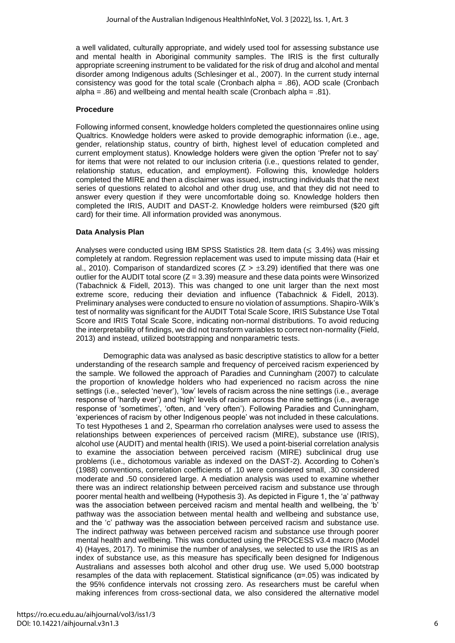a well validated, culturally appropriate, and widely used tool for assessing substance use and mental health in Aboriginal community samples. The IRIS is the first culturally appropriate screening instrument to be validated for the risk of drug and alcohol and mental disorder among Indigenous adults (Schlesinger et al., 2007). In the current study internal consistency was good for the total scale (Cronbach alpha = .86), AOD scale (Cronbach alpha = .86) and wellbeing and mental health scale (Cronbach alpha = .81).

#### **Procedure**

Following informed consent, knowledge holders completed the questionnaires online using Qualtrics. Knowledge holders were asked to provide demographic information (i.e., age, gender, relationship status, country of birth, highest level of education completed and current employment status). Knowledge holders were given the option 'Prefer not to say' for items that were not related to our inclusion criteria (i.e., questions related to gender, relationship status, education, and employment). Following this, knowledge holders completed the MIRE and then a disclaimer was issued, instructing individuals that the next series of questions related to alcohol and other drug use, and that they did not need to answer every question if they were uncomfortable doing so. Knowledge holders then completed the IRIS, AUDIT and DAST-2. Knowledge holders were reimbursed (\$20 gift card) for their time. All information provided was anonymous.

#### **Data Analysis Plan**

Analyses were conducted using IBM SPSS Statistics 28. Item data ( $\leq 3.4\%$ ) was missing completely at random. Regression replacement was used to impute missing data (Hair et al., 2010). Comparison of standardized scores ( $Z > \pm 3.29$ ) identified that there was one outlier for the AUDIT total score  $(Z = 3.39)$  measure and these data points were Winsorized (Tabachnick & Fidell, 2013). This was changed to one unit larger than the next most extreme score, reducing their deviation and influence (Tabachnick & Fidell, 2013). Preliminary analyses were conducted to ensure no violation of assumptions. Shapiro-Wilk's test of normality was significant for the AUDIT Total Scale Score, IRIS Substance Use Total Score and IRIS Total Scale Score, indicating non-normal distributions. To avoid reducing the interpretability of findings, we did not transform variables to correct non-normality (Field, 2013) and instead, utilized bootstrapping and nonparametric tests.

Demographic data was analysed as basic descriptive statistics to allow for a better understanding of the research sample and frequency of perceived racism experienced by the sample. We followed the approach of Paradies and Cunningham (2007) to calculate the proportion of knowledge holders who had experienced no racism across the nine settings (i.e., selected 'never'), 'low' levels of racism across the nine settings (i.e., average response of 'hardly ever') and 'high' levels of racism across the nine settings (i.e., average response of 'sometimes', 'often, and 'very often'). Following Paradies and Cunningham, 'experiences of racism by other Indigenous people' was not included in these calculations. To test Hypotheses 1 and 2, Spearman rho correlation analyses were used to assess the relationships between experiences of perceived racism (MIRE), substance use (IRIS), alcohol use (AUDIT) and mental health (IRIS). We used a point-biserial correlation analysis to examine the association between perceived racism (MIRE) subclinical drug use problems (i.e., dichotomous variable as indexed on the DAST-2). According to Cohen's (1988) conventions, correlation coefficients of .10 were considered small, .30 considered moderate and .50 considered large. A mediation analysis was used to examine whether there was an indirect relationship between perceived racism and substance use through poorer mental health and wellbeing (Hypothesis 3). As depicted in Figure 1, the 'a' pathway was the association between perceived racism and mental health and wellbeing, the 'b' pathway was the association between mental health and wellbeing and substance use, and the 'c' pathway was the association between perceived racism and substance use. The indirect pathway was between perceived racism and substance use through poorer mental health and wellbeing. This was conducted using the PROCESS v3.4 macro (Model 4) (Hayes, 2017). To minimise the number of analyses, we selected to use the IRIS as an index of substance use, as this measure has specifically been designed for Indigenous Australians and assesses both alcohol and other drug use. We used 5,000 bootstrap resamples of the data with replacement. Statistical significance  $(\alpha = .05)$  was indicated by the 95% confidence intervals not crossing zero. As researchers must be careful when making inferences from cross-sectional data, we also considered the alternative model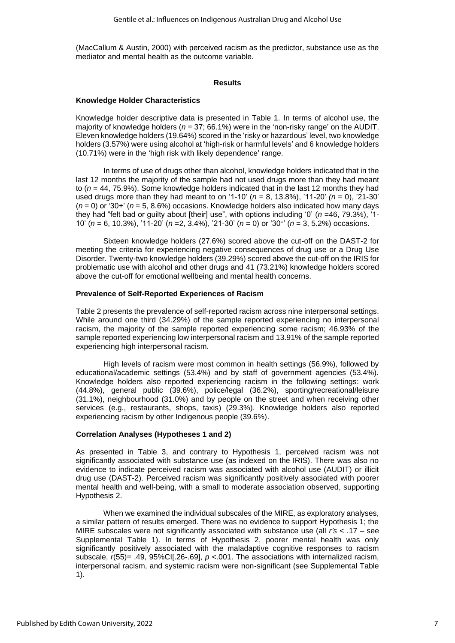(MacCallum & Austin, 2000) with perceived racism as the predictor, substance use as the mediator and mental health as the outcome variable.

#### **Results**

#### **Knowledge Holder Characteristics**

Knowledge holder descriptive data is presented in Table 1. In terms of alcohol use, the majority of knowledge holders (*n* = 37; 66.1%) were in the 'non-risky range' on the AUDIT. Eleven knowledge holders (19.64%) scored in the 'risky or hazardous' level, two knowledge holders (3.57%) were using alcohol at 'high-risk or harmful levels' and 6 knowledge holders (10.71%) were in the 'high risk with likely dependence' range.

In terms of use of drugs other than alcohol, knowledge holders indicated that in the last 12 months the majority of the sample had not used drugs more than they had meant to (*n* = 44, 75.9%). Some knowledge holders indicated that in the last 12 months they had used drugs more than they had meant to on '1-10'  $(n = 8, 13.8\%)$ , '11-20'  $(n = 0)$ , '21-30' (*n* = 0) or '30+' (*n* = 5, 8.6%) occasions. Knowledge holders also indicated how many days they had "felt bad or guilty about [their] use", with options including '0' (*n* =46, 79.3%), '1- 10' (*n* = 6, 10.3%), '11-20' (*n* =2, 3.4%), '21-30' (*n* = 0) or '30<sup>+</sup> ' (*n* = 3, 5.2%) occasions.

Sixteen knowledge holders (27.6%) scored above the cut-off on the DAST-2 for meeting the criteria for experiencing negative consequences of drug use or a Drug Use Disorder. Twenty-two knowledge holders (39.29%) scored above the cut-off on the IRIS for problematic use with alcohol and other drugs and 41 (73.21%) knowledge holders scored above the cut-off for emotional wellbeing and mental health concerns.

#### **Prevalence of Self-Reported Experiences of Racism**

Table 2 presents the prevalence of self-reported racism across nine interpersonal settings. While around one third (34.29%) of the sample reported experiencing no interpersonal racism, the majority of the sample reported experiencing some racism; 46.93% of the sample reported experiencing low interpersonal racism and 13.91% of the sample reported experiencing high interpersonal racism.

High levels of racism were most common in health settings (56.9%), followed by educational/academic settings (53.4%) and by staff of government agencies (53.4%). Knowledge holders also reported experiencing racism in the following settings: work (44.8%), general public (39.6%), police/legal (36.2%), sporting/recreational/leisure (31.1%), neighbourhood (31.0%) and by people on the street and when receiving other services (e.g., restaurants, shops, taxis) (29.3%). Knowledge holders also reported experiencing racism by other Indigenous people (39.6%).

#### **Correlation Analyses (Hypotheses 1 and 2)**

As presented in Table 3, and contrary to Hypothesis 1, perceived racism was not significantly associated with substance use (as indexed on the IRIS). There was also no evidence to indicate perceived racism was associated with alcohol use (AUDIT) or illicit drug use (DAST-2). Perceived racism was significantly positively associated with poorer mental health and well-being, with a small to moderate association observed, supporting Hypothesis 2.

When we examined the individual subscales of the MIRE, as exploratory analyses, a similar pattern of results emerged. There was no evidence to support Hypothesis 1; the MIRE subscales were not significantly associated with substance use (all *r's* < .17 – see Supplemental Table 1). In terms of Hypothesis 2, poorer mental health was only significantly positively associated with the maladaptive cognitive responses to racism subscale,  $r(55)$ = .49, 95%CI[.26-.69],  $p < .001$ . The associations with internalized racism, interpersonal racism, and systemic racism were non-significant (see Supplemental Table 1).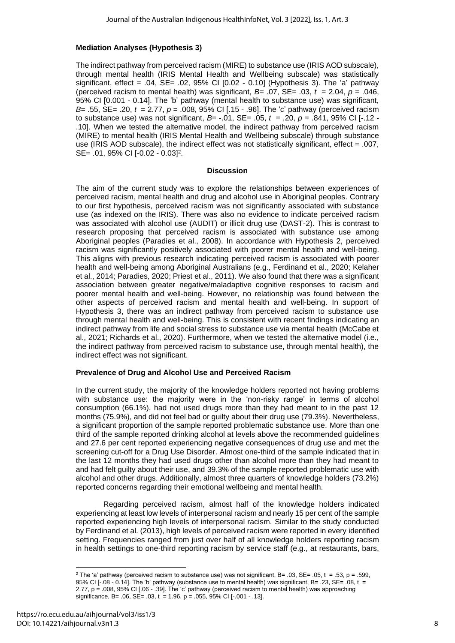## **Mediation Analyses (Hypothesis 3)**

The indirect pathway from perceived racism (MIRE) to substance use (IRIS AOD subscale), through mental health (IRIS Mental Health and Wellbeing subscale) was statistically significant, effect =  $.04$ , SE=  $.02$ , 95% CI  $[0.02 - 0.10]$  (Hypothesis 3). The 'a' pathway (perceived racism to mental health) was significant,  $B=$  .07,  $SE=$  .03,  $t = 2.04$ ,  $p = .046$ , 95% CI [0.001 - 0.14]. The 'b' pathway (mental health to substance use) was significant, *B*= .55, SE= .20, *t* = 2.77, *p* = .008, 95% CI [.15 - .96]. The 'c' pathway (perceived racism to substance use) was not significant, *B*= -.01, SE= .05, *t* = .20, *p* = .841, 95% CI [-.12 - .10]. When we tested the alternative model, the indirect pathway from perceived racism (MIRE) to mental health (IRIS Mental Health and Wellbeing subscale) through substance use (IRIS AOD subscale), the indirect effect was not statistically significant, effect = .007, SE= .01, 95% CI [-0.02 - 0.03]<sup>2</sup> .

#### **Discussion**

The aim of the current study was to explore the relationships between experiences of perceived racism, mental health and drug and alcohol use in Aboriginal peoples. Contrary to our first hypothesis, perceived racism was not significantly associated with substance use (as indexed on the IRIS). There was also no evidence to indicate perceived racism was associated with alcohol use (AUDIT) or illicit drug use (DAST-2). This is contrast to research proposing that perceived racism is associated with substance use among Aboriginal peoples (Paradies et al., 2008). In accordance with Hypothesis 2, perceived racism was significantly positively associated with poorer mental health and well-being. This aligns with previous research indicating perceived racism is associated with poorer health and well-being among Aboriginal Australians (e.g., Ferdinand et al., 2020; Kelaher et al., 2014; Paradies, 2020; Priest et al., 2011). We also found that there was a significant association between greater negative/maladaptive cognitive responses to racism and poorer mental health and well-being. However, no relationship was found between the other aspects of perceived racism and mental health and well-being. In support of Hypothesis 3, there was an indirect pathway from perceived racism to substance use through mental health and well-being. This is consistent with recent findings indicating an indirect pathway from life and social stress to substance use via mental health (McCabe et al., 2021; Richards et al., 2020). Furthermore, when we tested the alternative model (i.e., the indirect pathway from perceived racism to substance use, through mental health), the indirect effect was not significant.

### **Prevalence of Drug and Alcohol Use and Perceived Racism**

In the current study, the majority of the knowledge holders reported not having problems with substance use: the majority were in the 'non-risky range' in terms of alcohol consumption (66.1%), had not used drugs more than they had meant to in the past 12 months (75.9%), and did not feel bad or guilty about their drug use (79.3%). Nevertheless, a significant proportion of the sample reported problematic substance use. More than one third of the sample reported drinking alcohol at levels above the recommended guidelines and 27.6 per cent reported experiencing negative consequences of drug use and met the screening cut-off for a Drug Use Disorder. Almost one-third of the sample indicated that in the last 12 months they had used drugs other than alcohol more than they had meant to and had felt guilty about their use, and 39.3% of the sample reported problematic use with alcohol and other drugs. Additionally, almost three quarters of knowledge holders (73.2%) reported concerns regarding their emotional wellbeing and mental health.

Regarding perceived racism, almost half of the knowledge holders indicated experiencing at least low levels of interpersonal racism and nearly 15 per cent of the sample reported experiencing high levels of interpersonal racism. Similar to the study conducted by Ferdinand et al. (2013), high levels of perceived racism were reported in every identified setting. Frequencies ranged from just over half of all knowledge holders reporting racism in health settings to one-third reporting racism by service staff (e.g., at restaurants, bars,

<sup>&</sup>lt;sup>2</sup> The 'a' pathway (perceived racism to substance use) was not significant, B= .03, SE= .05, t = .53, p = .599, 95% CI [-.08 - 0.14]. The 'b' pathway (substance use to mental health) was significant, B= .23, SE= .08, t = 2.77, p = .008, 95% CI [.06 - .39]. The 'c' pathway (perceived racism to mental health) was approaching significance, B=  $.06$ , SE=  $.03$ , t = 1.96, p =  $.055$ , 95% CI [ $-.001 - .13$ ].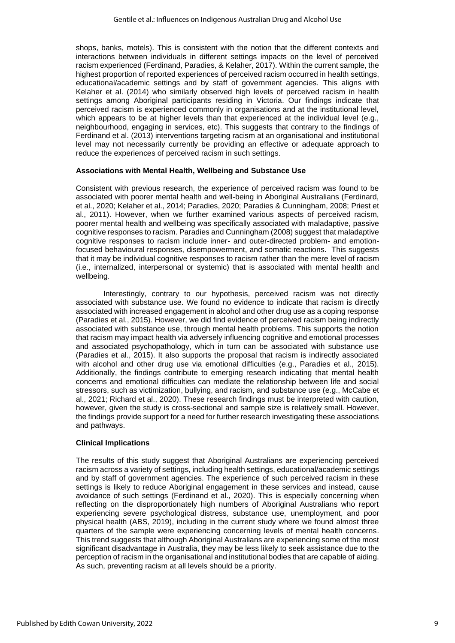shops, banks, motels). This is consistent with the notion that the different contexts and interactions between individuals in different settings impacts on the level of perceived racism experienced (Ferdinand, Paradies, & Kelaher, 2017). Within the current sample, the highest proportion of reported experiences of perceived racism occurred in health settings, educational/academic settings and by staff of government agencies. This aligns with Kelaher et al. (2014) who similarly observed high levels of perceived racism in health settings among Aboriginal participants residing in Victoria. Our findings indicate that perceived racism is experienced commonly in organisations and at the institutional level, which appears to be at higher levels than that experienced at the individual level (e.g., neighbourhood, engaging in services, etc). This suggests that contrary to the findings of Ferdinand et al. (2013) interventions targeting racism at an organisational and institutional level may not necessarily currently be providing an effective or adequate approach to reduce the experiences of perceived racism in such settings.

#### **Associations with Mental Health, Wellbeing and Substance Use**

Consistent with previous research, the experience of perceived racism was found to be associated with poorer mental health and well-being in Aboriginal Australians (Ferdinard, et al., 2020; Kelaher et al., 2014; Paradies, 2020; Paradies & Cunningham, 2008; Priest et al., 2011). However, when we further examined various aspects of perceived racism, poorer mental health and wellbeing was specifically associated with maladaptive, passive cognitive responses to racism. Paradies and Cunningham (2008) suggest that maladaptive cognitive responses to racism include inner- and outer-directed problem- and emotionfocused behavioural responses, disempowerment, and somatic reactions. This suggests that it may be individual cognitive responses to racism rather than the mere level of racism (i.e., internalized, interpersonal or systemic) that is associated with mental health and wellbeing.

Interestingly, contrary to our hypothesis, perceived racism was not directly associated with substance use. We found no evidence to indicate that racism is directly associated with increased engagement in alcohol and other drug use as a coping response (Paradies et al., 2015). However, we did find evidence of perceived racism being indirectly associated with substance use, through mental health problems. This supports the notion that racism may impact health via adversely influencing cognitive and emotional processes and associated psychopathology, which in turn can be associated with substance use (Paradies et al., 2015). It also supports the proposal that racism is indirectly associated with alcohol and other drug use via emotional difficulties (e.g., Paradies et al., 2015). Additionally, the findings contribute to emerging research indicating that mental health concerns and emotional difficulties can mediate the relationship between life and social stressors, such as victimization, bullying, and racism, and substance use (e.g., McCabe et al., 2021; Richard et al., 2020). These research findings must be interpreted with caution, however, given the study is cross-sectional and sample size is relatively small. However, the findings provide support for a need for further research investigating these associations and pathways.

#### **Clinical Implications**

The results of this study suggest that Aboriginal Australians are experiencing perceived racism across a variety of settings, including health settings, educational/academic settings and by staff of government agencies. The experience of such perceived racism in these settings is likely to reduce Aboriginal engagement in these services and instead, cause avoidance of such settings (Ferdinand et al., 2020). This is especially concerning when reflecting on the disproportionately high numbers of Aboriginal Australians who report experiencing severe psychological distress, substance use, unemployment, and poor physical health (ABS, 2019), including in the current study where we found almost three quarters of the sample were experiencing concerning levels of mental health concerns. This trend suggests that although Aboriginal Australians are experiencing some of the most significant disadvantage in Australia, they may be less likely to seek assistance due to the perception of racism in the organisational and institutional bodies that are capable of aiding. As such, preventing racism at all levels should be a priority.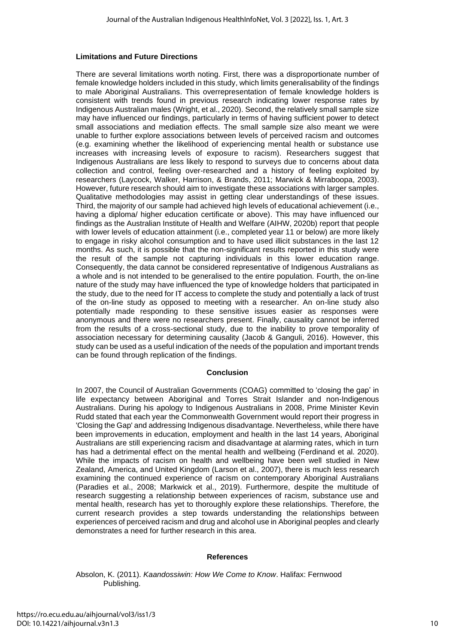#### **Limitations and Future Directions**

There are several limitations worth noting. First, there was a disproportionate number of female knowledge holders included in this study, which limits generalisability of the findings to male Aboriginal Australians. This overrepresentation of female knowledge holders is consistent with trends found in previous research indicating lower response rates by Indigenous Australian males (Wright, et al., 2020). Second, the relatively small sample size may have influenced our findings, particularly in terms of having sufficient power to detect small associations and mediation effects. The small sample size also meant we were unable to further explore associations between levels of perceived racism and outcomes (e.g. examining whether the likelihood of experiencing mental health or substance use increases with increasing levels of exposure to racism). Researchers suggest that Indigenous Australians are less likely to respond to surveys due to concerns about data collection and control, feeling over-researched and a history of feeling exploited by researchers (Laycock, Walker, Harrison, & Brands, 2011; Marwick & Mirraboopa, 2003). However, future research should aim to investigate these associations with larger samples. Qualitative methodologies may assist in getting clear understandings of these issues. Third, the majority of our sample had achieved high levels of educational achievement (i.e., having a diploma/ higher education certificate or above). This may have influenced our findings as the Australian Institute of Health and Welfare (AIHW, 2020b) report that people with lower levels of education attainment (i.e., completed year 11 or below) are more likely to engage in risky alcohol consumption and to have used illicit substances in the last 12 months. As such, it is possible that the non-significant results reported in this study were the result of the sample not capturing individuals in this lower education range. Consequently, the data cannot be considered representative of Indigenous Australians as a whole and is not intended to be generalised to the entire population. Fourth, the on-line nature of the study may have influenced the type of knowledge holders that participated in the study, due to the need for IT access to complete the study and potentially a lack of trust of the on-line study as opposed to meeting with a researcher. An on-line study also potentially made responding to these sensitive issues easier as responses were anonymous and there were no researchers present. Finally, causality cannot be inferred from the results of a cross-sectional study, due to the inability to prove temporality of association necessary for determining causality (Jacob & Ganguli, 2016). However, this study can be used as a useful indication of the needs of the population and important trends can be found through replication of the findings.

#### **Conclusion**

In 2007, the Council of Australian Governments (COAG) committed to 'closing the gap' in life expectancy between Aboriginal and Torres Strait Islander and non-Indigenous Australians. During his apology to Indigenous Australians in 2008, Prime Minister Kevin Rudd stated that each year the Commonwealth Government would report their progress in 'Closing the Gap' and addressing Indigenous disadvantage. Nevertheless, while there have been improvements in education, employment and health in the last 14 years, Aboriginal Australians are still experiencing racism and disadvantage at alarming rates, which in turn has had a detrimental effect on the mental health and wellbeing (Ferdinand et al. 2020). While the impacts of racism on health and wellbeing have been well studied in New Zealand, America, and United Kingdom (Larson et al., 2007), there is much less research examining the continued experience of racism on contemporary Aboriginal Australians (Paradies et al., 2008; Markwick et al., 2019). Furthermore, despite the multitude of research suggesting a relationship between experiences of racism, substance use and mental health, research has yet to thoroughly explore these relationships. Therefore, the current research provides a step towards understanding the relationships between experiences of perceived racism and drug and alcohol use in Aboriginal peoples and clearly demonstrates a need for further research in this area.

#### **References**

#### Absolon, K. (2011). *Kaandossiwin: How We Come to Know*. Halifax: Fernwood Publishing.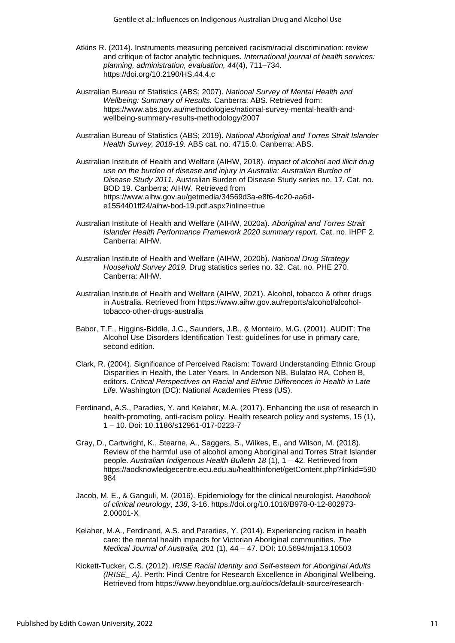- Atkins R. (2014). Instruments measuring perceived racism/racial discrimination: review and critique of factor analytic techniques. *International journal of health services: planning, administration, evaluation, 44*(4), 711–734. <https://doi.org/10.2190/HS.44.4.c>
- Australian Bureau of Statistics (ABS; 2007). *National Survey of Mental Health and Wellbeing: Summary of Results.* Canberra: ABS. Retrieved from: [https://www.abs.gov.au/methodologies/national-survey-mental-health-and](https://www.abs.gov.au/methodologies/national-survey-mental-health-and-wellbeing-summary-results-methodology/2007)[wellbeing-summary-results-methodology/2007](https://www.abs.gov.au/methodologies/national-survey-mental-health-and-wellbeing-summary-results-methodology/2007)
- Australian Bureau of Statistics (ABS; 2019). *National Aboriginal and Torres Strait Islander Health Survey, 2018-19.* ABS cat. no. 4715.0. Canberra: ABS.

Australian Institute of Health and Welfare (AIHW, 2018). *Impact of alcohol and illicit drug use on the burden of disease and injury in Australia: Australian Burden of Disease Study 2011.* Australian Burden of Disease Study series no. 17. Cat. no. BOD 19. Canberra: AIHW. Retrieved from [https://www.aihw.gov.au/getmedia/34569d3a-e8f6-4c20-aa6d](https://www.aihw.gov.au/getmedia/34569d3a-e8f6-4c20-aa6d-e1554401ff24/aihw-bod-19.pdf.aspx?inline=true)[e1554401ff24/aihw-bod-19.pdf.aspx?inline=true](https://www.aihw.gov.au/getmedia/34569d3a-e8f6-4c20-aa6d-e1554401ff24/aihw-bod-19.pdf.aspx?inline=true)

- Australian Institute of Health and Welfare (AIHW, 2020a). *Aboriginal and Torres Strait Islander Health Performance Framework 2020 summary report.* Cat. no. IHPF 2. Canberra: AIHW.
- Australian Institute of Health and Welfare (AIHW, 2020b). *National Drug Strategy Household Survey 2019.* Drug statistics series no. 32. Cat. no. PHE 270. Canberra: AIHW.
- Australian Institute of Health and Welfare (AIHW, 2021). Alcohol, tobacco & other drugs in Australia. Retrieved from [https://www.aihw.gov.au/reports/alcohol/alcohol](https://www.aihw.gov.au/reports/alcohol/alcohol-tobacco-other-drugs-australia)[tobacco-other-drugs-australia](https://www.aihw.gov.au/reports/alcohol/alcohol-tobacco-other-drugs-australia)
- Babor, T.F., Higgins-Biddle, J.C., Saunders, J.B., & Monteiro, M.G. (2001). AUDIT: The Alcohol Use Disorders Identification Test: guidelines for use in primary care, second edition.
- Clark, R. (2004). Significance of Perceived Racism: Toward Understanding Ethnic Group Disparities in Health, the Later Years. In Anderson NB, Bulatao RA, Cohen B, editors. *Critical Perspectives on Racial and Ethnic Differences in Health in Late Life*. Washington (DC): National Academies Press (US).
- Ferdinand, A.S., Paradies, Y. and Kelaher, M.A. (2017). Enhancing the use of research in health-promoting, anti-racism policy. Health research policy and systems, 15 (1), 1 – 10. Doi: 10.1186/s12961-017-0223-7
- Gray, D., Cartwright, K., Stearne, A., Saggers, S., Wilkes, E., and Wilson, M. (2018). Review of the harmful use of alcohol among Aboriginal and Torres Strait Islander people. *Australian Indigenous Health Bulletin 18* (1), 1 – 42. Retrieved from [https://aodknowledgecentre.ecu.edu.au/healthinfonet/getContent.php?linkid=590](https://aodknowledgecentre.ecu.edu.au/healthinfonet/getContent.php?linkid=590984) [984](https://aodknowledgecentre.ecu.edu.au/healthinfonet/getContent.php?linkid=590984)
- Jacob, M. E., & Ganguli, M. (2016). Epidemiology for the clinical neurologist. *Handbook of clinical neurology*, *138*, 3-16. [https://doi.org/10.1016/B978-0-12-802973-](https://doi.org/10.1016/B978-0-12-802973-2.00001-X) [2.00001-X](https://doi.org/10.1016/B978-0-12-802973-2.00001-X)
- Kelaher, M.A., Ferdinand, A.S. and Paradies, Y. (2014). Experiencing racism in health care: the mental health impacts for Victorian Aboriginal communities. *The Medical Journal of Australia, 201* (1), 44 – 47. DOI: 10.5694/mja13.10503
- Kickett-Tucker, C.S. (2012). *IRISE Racial Identity and Self-esteem for Aboriginal Adults (IRISE\_ A)*. Perth: Pindi Centre for Research Excellence in Aboriginal Wellbeing. Retrieved from [https://www.beyondblue.org.au/docs/default-source/research-](https://www.beyondblue.org.au/docs/default-source/research-project-files/maambart-maam-for-maali-moort-wellbeing-pilot-program-final-report.pdf?sfvrsn=9a6a45ea_2)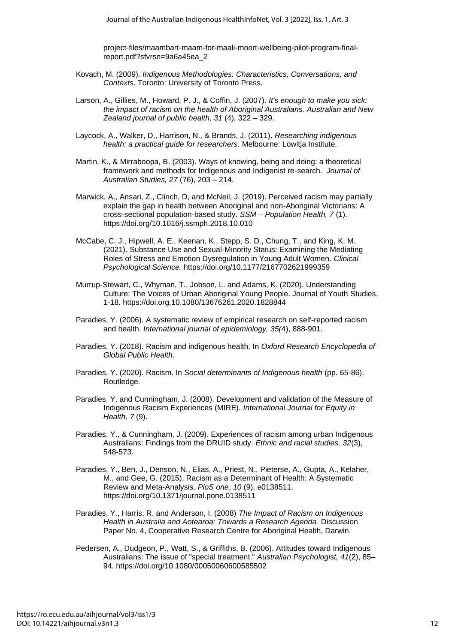[project-files/maambart-maam-for-maali-moort-wellbeing-pilot-program-final](https://www.beyondblue.org.au/docs/default-source/research-project-files/maambart-maam-for-maali-moort-wellbeing-pilot-program-final-report.pdf?sfvrsn=9a6a45ea_2)[report.pdf?sfvrsn=9a6a45ea\\_2](https://www.beyondblue.org.au/docs/default-source/research-project-files/maambart-maam-for-maali-moort-wellbeing-pilot-program-final-report.pdf?sfvrsn=9a6a45ea_2)

- Kovach, M. (2009). *Indigenous Methodologies: Characteristics, Conversations, and Contexts*. Toronto: University of Toronto Press.
- Larson, A., Gillies, M., Howard, P. J., & Coffin, J. (2007). *It's enough to make you sick: the impact of racism on the health of Aboriginal Australians. Australian and New Zealand journal of public health, 31* (4), 322 – 329.
- Laycock, A., Walker, D., Harrison, N., & Brands, J. (2011). *Researching indigenous health: a practical guide for researchers.* Melbourne: Lowitja Institute.
- Martin, K., & Mirraboopa, B. (2003). Ways of knowing, being and doing: a theoretical framework and methods for Indigenous and Indigenist re-search. *Journal of Australian Studies, 27* (76), 203 – 214.
- Marwick, A., Ansari, Z., Clinch, D, and McNeil, J. (2019). Perceived racism may partially explain the gap in health between Aboriginal and non-Aboriginal Victorians: A cross-sectional population-based study. *SSM – Population Health, 7* (1). <https://doi.org/10.1016/j.ssmph.2018.10.010>
- McCabe, C. J., Hipwell, A. E., Keenan, K., Stepp, S. D., Chung, T., and King, K. M. (2021). Substance Use and Sexual-Minority Status: Examining the Mediating Roles of Stress and Emotion Dysregulation in Young Adult Women. *Clinical Psychological Science.* <https://doi.org/10.1177/2167702621999359>
- Murrup-Stewart, C., Whyman, T., Jobson, L. and Adams, K. (2020). Understanding Culture: The Voices of Urban Aboriginal Young People. Journal of Youth Studies, 1-18.<https://doi.org.10.1080/13676261.2020.1828844>
- Paradies, Y. (2006). A systematic review of empirical research on self-reported racism and health. *International journal of epidemiology, 35(*4), 888-901.
- Paradies, Y. (2018). Racism and indigenous health. In *Oxford Research Encyclopedia of Global Public Health*.
- Paradies, Y. (2020). Racism. In *Social determinants of Indigenous health* (pp. 65-86). Routledge.
- Paradies, Y. and Cunningham, J. (2008). Development and validation of the Measure of Indigenous Racism Experiences (MIRE). *International Journal for Equity in Health, 7* (9).
- Paradies, Y., & Cunningham, J. (2009). Experiences of racism among urban Indigenous Australians: Findings from the DRUID study. *Ethnic and racial studies, 32*(3), 548-573.
- Paradies, Y., Ben, J., Denson, N., Elias, A., Priest, N., Pieterse, A., Gupta, A., Kelaher, M., and Gee, G. (2015). Racism as a Determinant of Health: A Systematic Review and Meta-Analysis. *PloS one*, *10* (9), e0138511. <https://doi.org/10.1371/journal.pone.0138511>
- Paradies, Y., Harris, R. and Anderson, I. (2008) *The Impact of Racism on Indigenous Health in Australia and Aotearoa: Towards a Research Agenda*. Discussion Paper No. 4, Cooperative Research Centre for Aboriginal Health, Darwin.
- Pedersen, A., Dudgeon, P., Watt, S., & Griffiths, B. (2006). Attitudes toward Indigenous Australians: The issue of "special treatment." *Australian Psychologist, 41*(2), 85– 94.<https://doi.org/10.1080/00050060600585502>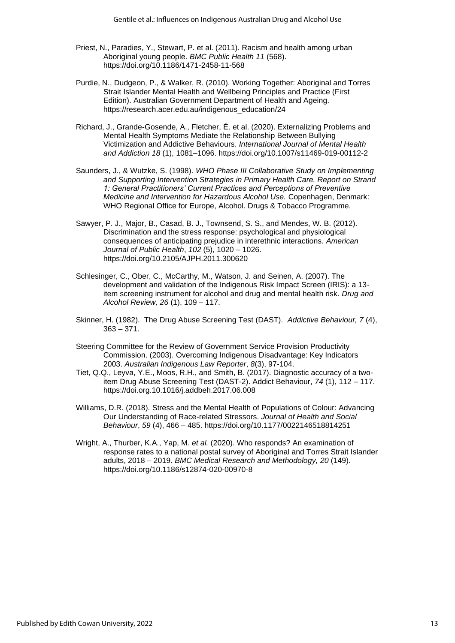- Priest, N., Paradies, Y., Stewart, P. et al. (2011). Racism and health among urban Aboriginal young people. *BMC Public Health 11* (568). <https://doi.org/10.1186/1471-2458-11-568>
- Purdie, N., Dudgeon, P., & Walker, R. (2010). Working Together: Aboriginal and Torres Strait Islander Mental Health and Wellbeing Principles and Practice (First Edition). Australian Government Department of Health and Ageing. [https://research.acer.edu.au/indigenous\\_education/24](https://research.acer.edu.au/indigenous_education/24)
- Richard, J., Grande-Gosende, A., Fletcher, É. et al. (2020). Externalizing Problems and Mental Health Symptoms Mediate the Relationship Between Bullying Victimization and Addictive Behaviours. *International Journal of Mental Health and Addiction 18* (1), 1081–1096.<https://doi.org/10.1007/s11469-019-00112-2>
- Saunders, J., & Wutzke, S. (1998). *WHO Phase III Collaborative Study on Implementing and Supporting Intervention Strategies in Primary Health Care. Report on Strand 1: General Practitioners' Current Practices and Perceptions of Preventive Medicine and Intervention for Hazardous Alcohol Use.* Copenhagen, Denmark: WHO Regional Office for Europe, Alcohol. Drugs & Tobacco Programme.
- Sawyer, P. J., Major, B., Casad, B. J., Townsend, S. S., and Mendes, W. B. (2012). Discrimination and the stress response: psychological and physiological consequences of anticipating prejudice in interethnic interactions. *American Journal of Public Health*, *102* (5), 1020 – 1026. <https://doi.org/10.2105/AJPH.2011.300620>
- Schlesinger, C., Ober, C., McCarthy, M., Watson, J. and Seinen, A. (2007). The development and validation of the Indigenous Risk Impact Screen (IRIS): a 13 item screening instrument for alcohol and drug and mental health risk. *Drug and Alcohol Review, 26* (1), 109 – 117.
- Skinner, H. (1982). The Drug Abuse Screening Test (DAST). *Addictive Behaviour, 7* (4), 363 – 371.
- Steering Committee for the Review of Government Service Provision Productivity Commission. (2003). Overcoming Indigenous Disadvantage: Key Indicators 2003. *Australian Indigenous Law Reporter*, *8*(3), 97-104.
- Tiet, Q.Q., Leyva, Y.E., Moos, R.H., and Smith, B. (2017). Diagnostic accuracy of a twoitem Drug Abuse Screening Test (DAST-2). Addict Behaviour, *74* (1), 112 – 117. <https://doi.org.10.1016/j.addbeh.2017.06.008>
- Williams, D.R. (2018). Stress and the Mental Health of Populations of Colour: Advancing Our Understanding of Race-related Stressors. *Journal of Health and Social Behaviour*, *59* (4), 466 – 485.<https://doi.org/10.1177/0022146518814251>
- Wright, A., Thurber, K.A., Yap, M. *et al.* (2020). Who responds? An examination of response rates to a national postal survey of Aboriginal and Torres Strait Islander adults, 2018 – 2019. *BMC Medical Research and Methodology, 20* (149). <https://doi.org/10.1186/s12874-020-00970-8>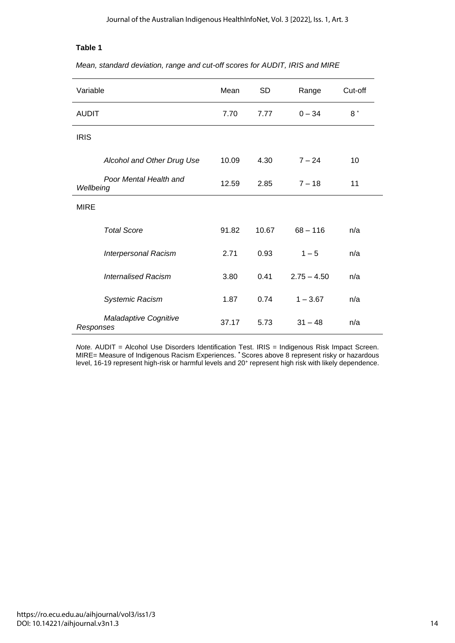## **Table 1**

|  |  |  | Mean, standard deviation, range and cut-off scores for AUDIT, IRIS and MIRE |
|--|--|--|-----------------------------------------------------------------------------|
|--|--|--|-----------------------------------------------------------------------------|

| Variable                            |                             | Mean  | <b>SD</b> | Range         | Cut-off |
|-------------------------------------|-----------------------------|-------|-----------|---------------|---------|
| <b>AUDIT</b>                        |                             | 7.70  | 7.77      | $0 - 34$      | $8*$    |
| <b>IRIS</b>                         |                             |       |           |               |         |
|                                     | Alcohol and Other Drug Use  | 10.09 | 4.30      | $7 - 24$      | 10      |
| Poor Mental Health and<br>Wellbeing |                             | 12.59 | 2.85      | $7 - 18$      | 11      |
| <b>MIRE</b>                         |                             |       |           |               |         |
|                                     | <b>Total Score</b>          | 91.82 | 10.67     | $68 - 116$    | n/a     |
|                                     | <b>Interpersonal Racism</b> | 2.71  | 0.93      | $1 - 5$       | n/a     |
|                                     | <b>Internalised Racism</b>  | 3.80  | 0.41      | $2.75 - 4.50$ | n/a     |
|                                     | <b>Systemic Racism</b>      | 1.87  | 0.74      | $1 - 3.67$    | n/a     |
| Responses                           | Maladaptive Cognitive       | 37.17 | 5.73      | $31 - 48$     | n/a     |

*Note.* AUDIT = Alcohol Use Disorders Identification Test. IRIS = Indigenous Risk Impact Screen. MIRE= Measure of Indigenous Racism Experiences. **\*** Scores above 8 represent risky or hazardous level, 16-19 represent high-risk or harmful levels and 20<sup>+</sup> represent high risk with likely dependence.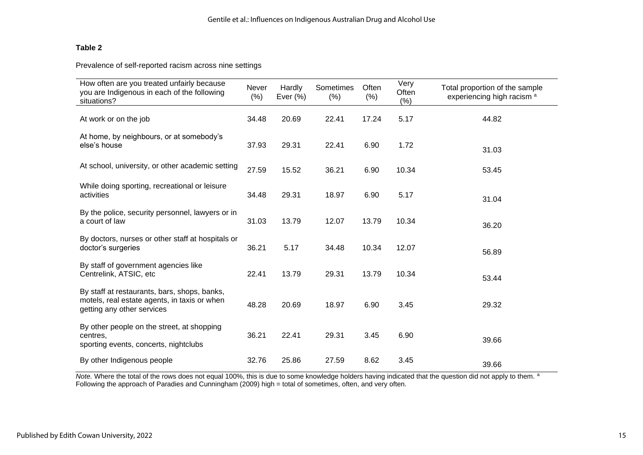## **Table 2**

Prevalence of self-reported racism across nine settings

| How often are you treated unfairly because<br>you are Indigenous in each of the following<br>situations?                   | Never<br>(% ) | Hardly<br>Ever $(\%)$ | Sometimes<br>(% ) | Often<br>$(\% )$ | Very<br>Often<br>$(\%)$ | Total proportion of the sample<br>experiencing high racism <sup>a</sup> |
|----------------------------------------------------------------------------------------------------------------------------|---------------|-----------------------|-------------------|------------------|-------------------------|-------------------------------------------------------------------------|
| At work or on the job                                                                                                      | 34.48         | 20.69                 | 22.41             | 17.24            | 5.17                    | 44.82                                                                   |
| At home, by neighbours, or at somebody's<br>else's house                                                                   | 37.93         | 29.31                 | 22.41             | 6.90             | 1.72                    | 31.03                                                                   |
| At school, university, or other academic setting                                                                           | 27.59         | 15.52                 | 36.21             | 6.90             | 10.34                   | 53.45                                                                   |
| While doing sporting, recreational or leisure<br>activities                                                                | 34.48         | 29.31                 | 18.97             | 6.90             | 5.17                    | 31.04                                                                   |
| By the police, security personnel, lawyers or in<br>a court of law                                                         | 31.03         | 13.79                 | 12.07             | 13.79            | 10.34                   | 36.20                                                                   |
| By doctors, nurses or other staff at hospitals or<br>doctor's surgeries                                                    | 36.21         | 5.17                  | 34.48             | 10.34            | 12.07                   | 56.89                                                                   |
| By staff of government agencies like<br>Centrelink, ATSIC, etc                                                             | 22.41         | 13.79                 | 29.31             | 13.79            | 10.34                   | 53.44                                                                   |
| By staff at restaurants, bars, shops, banks,<br>motels, real estate agents, in taxis or when<br>getting any other services | 48.28         | 20.69                 | 18.97             | 6.90             | 3.45                    | 29.32                                                                   |
| By other people on the street, at shopping<br>centres,<br>sporting events, concerts, nightclubs                            | 36.21         | 22.41                 | 29.31             | 3.45             | 6.90                    | 39.66                                                                   |
| By other Indigenous people                                                                                                 | 32.76         | 25.86                 | 27.59             | 8.62             | 3.45                    | 39.66                                                                   |

Note. Where the total of the rows does not equal 100%, this is due to some knowledge holders having indicated that the question did not apply to them.<sup>8</sup> Following the approach of Paradies and Cunningham (2009) high = total of sometimes, often, and very often.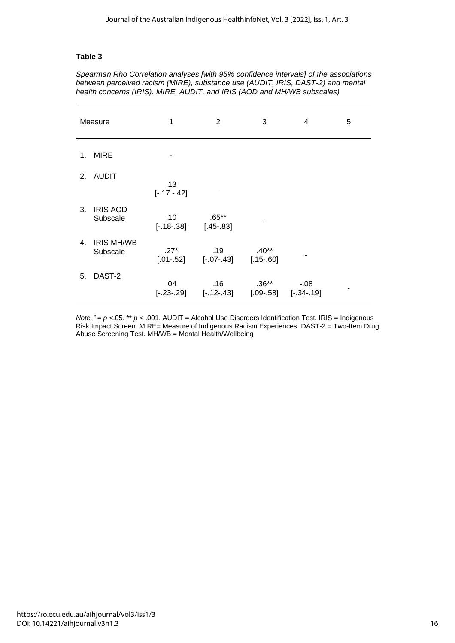#### **Table 3**

*Spearman Rho Correlation analyses [with 95% confidence intervals] of the associations between perceived racism (MIRE), substance use (AUDIT, IRIS, DAST-2) and mental health concerns (IRIS). MIRE, AUDIT, and IRIS (AOD and MH/WB subscales)*

| Measure |                               | 1                                | $\overline{2}$         | 3                                   | 4       | 5 |
|---------|-------------------------------|----------------------------------|------------------------|-------------------------------------|---------|---|
| 1.      | <b>MIRE</b>                   |                                  |                        |                                     |         |   |
| 2.      | <b>AUDIT</b>                  | .13<br>$[-.17 - .42]$            |                        |                                     |         |   |
| 3.      | <b>IRIS AOD</b><br>Subscale   | .10<br>$[-.18-.38]$              | $.65**$<br>$[.45-.83]$ |                                     |         |   |
| 4.      | <b>IRIS MH/WB</b><br>Subscale | $.27*$<br>$[.01-.52]$            | .19<br>$[-.07 - .43]$  | $.40**$<br>$[.15-.60]$              |         |   |
| 5.      | DAST-2                        | .04<br>$[-.23-.29]$ $[-.12-.43]$ | .16                    | $.36**$<br>$[.09-.58]$ $[-.34-.19]$ | $-0.08$ |   |

*Note.*  $^*$  =  $p$  <.05. \*\*  $p$  < .001. AUDIT = Alcohol Use Disorders Identification Test. IRIS = Indigenous Risk Impact Screen. MIRE= Measure of Indigenous Racism Experiences. DAST-2 = Two-Item Drug Abuse Screening Test. MH/WB = Mental Health/Wellbeing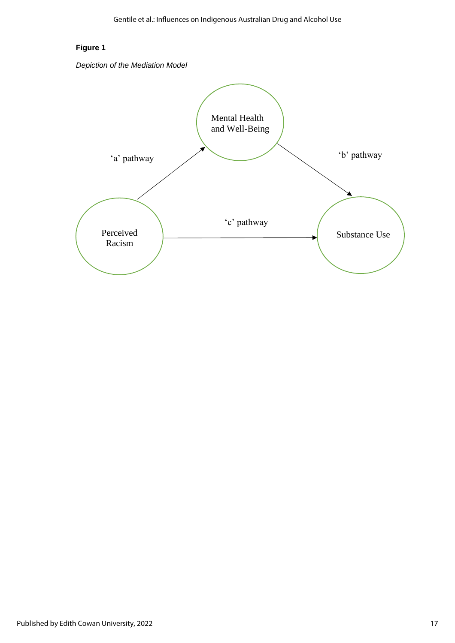## **Figure 1**

*Depiction of the Mediation Model*